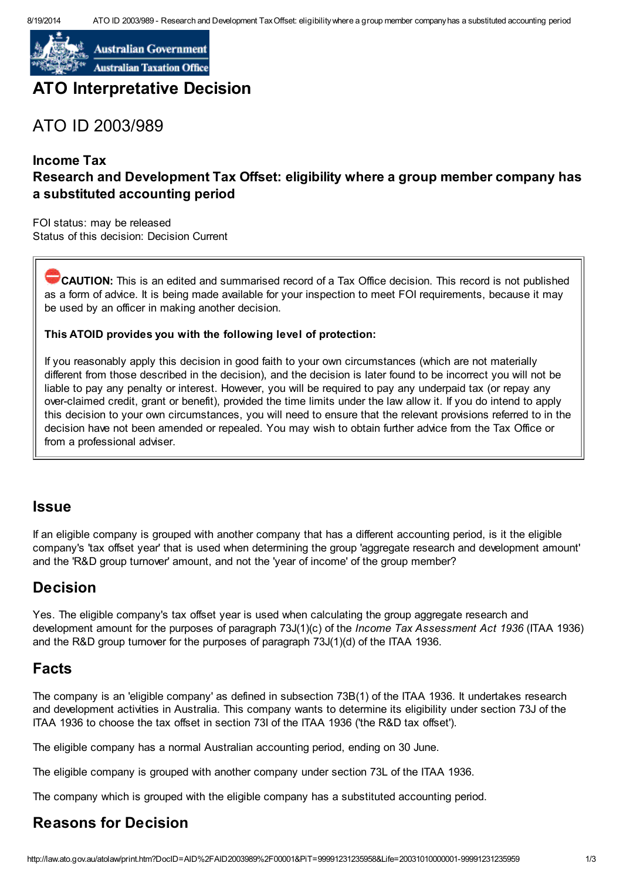

**Australian Government Australian Taxation Office** 

# ATO Interpretative Decision

# ATO ID 2003/989

#### Income Tax Research and Development Tax Offset: eligibility where a group member company has a substituted accounting period

FOI status: may be released Status of this decision: Decision Current

**CAUTION:** This is an edited and summarised record of a Tax Office decision. This record is not published as a form of advice. It is being made available for your inspection to meet FOI requirements, because it may be used by an officer in making another decision.

#### This ATOID provides you with the following level of protection:

If you reasonably apply this decision in good faith to your own circumstances (which are not materially different from those described in the decision), and the decision is later found to be incorrect you will not be liable to pay any penalty or interest. However, you will be required to pay any underpaid tax (or repay any over-claimed credit, grant or benefit), provided the time limits under the law allow it. If you do intend to apply this decision to your own circumstances, you will need to ensure that the relevant provisions referred to in the decision have not been amended or repealed. You may wish to obtain further advice from the Tax Office or from a professional adviser.

#### Issue

If an eligible company is grouped with another company that has a different accounting period, is it the eligible company's 'tax offset year' that is used when determining the group 'aggregate research and development amount' and the 'R&D group turnover' amount, and not the 'year of income' of the group member?

### Decision

Yes. The eligible company's tax offset year is used when calculating the group aggregate research and development amount for the purposes of paragraph 73J(1)(c) of the Income Tax Assessment Act 1936 (ITAA 1936) and the R&D group turnover for the purposes of paragraph 73J(1)(d) of the ITAA 1936.

### Facts

The company is an 'eligible company' as defined in subsection 73B(1) of the ITAA 1936. It undertakes research and development activities in Australia. This company wants to determine its eligibility under section 73J of the ITAA 1936 to choose the tax offset in section 73I of the ITAA 1936 ('the R&D tax offset').

The eligible company has a normal Australian accounting period, ending on 30 June.

The eligible company is grouped with another company under section 73L of the ITAA 1936.

The company which is grouped with the eligible company has a substituted accounting period.

# Reasons for Decision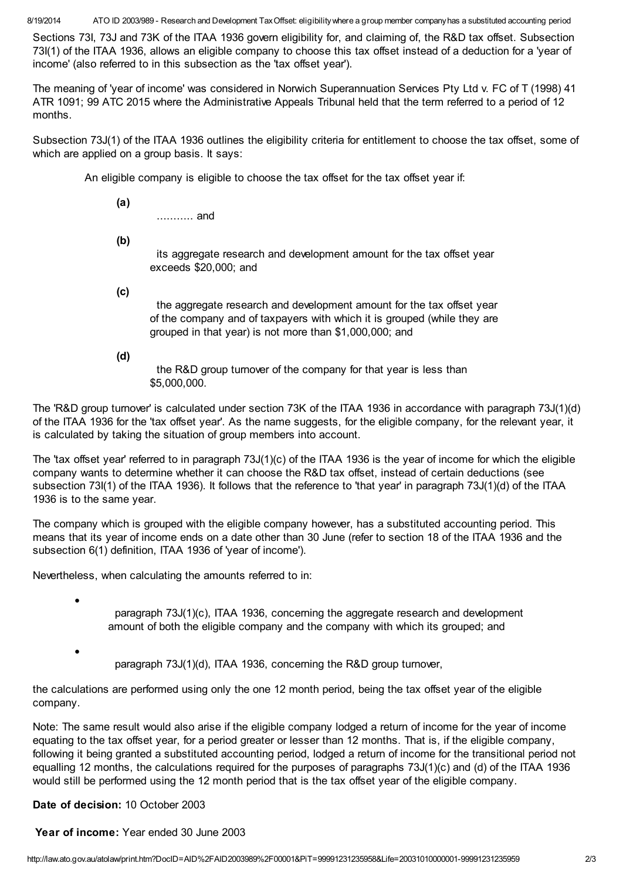8/19/2014 ATO ID 2003/989 - Research and Development TaxOffset: eligibilitywhere a group member companyhas a substituted accounting period

Sections 73I, 73J and 73K of the ITAA 1936 govern eligibility for, and claiming of, the R&D tax offset. Subsection 73I(1) of the ITAA 1936, allows an eligible company to choose this tax offset instead of a deduction for a 'year of income' (also referred to in this subsection as the 'tax offset year').

The meaning of 'year of income' was considered in Norwich Superannuation Services Pty Ltd v. FC of T (1998) 41 ATR 1091; 99 ATC 2015 where the Administrative Appeals Tribunal held that the term referred to a period of 12 months.

Subsection 73J(1) of the ITAA 1936 outlines the eligibility criteria for entitlement to choose the tax offset, some of which are applied on a group basis. It says:

An eligible company is eligible to choose the tax offset for the tax offset year if:

(a)

........... and

(b)

its aggregate research and development amount for the tax offset year exceeds \$20,000; and

(c)

the aggregate research and development amount for the tax offset year of the company and of taxpayers with which it is grouped (while they are grouped in that year) is not more than \$1,000,000; and

(d)

the R&D group turnover of the company for that year is less than \$5,000,000.

The 'R&D group turnover' is calculated under section 73K of the ITAA 1936 in accordance with paragraph 73J(1)(d) of the ITAA 1936 for the 'tax offset year'. As the name suggests, for the eligible company, for the relevant year, it is calculated by taking the situation of group members into account.

The 'tax offset year' referred to in paragraph 73J(1)(c) of the ITAA 1936 is the year of income for which the eligible company wants to determine whether it can choose the R&D tax offset, instead of certain deductions (see subsection 73I(1) of the ITAA 1936). It follows that the reference to 'that year' in paragraph 73J(1)(d) of the ITAA 1936 is to the same year.

The company which is grouped with the eligible company however, has a substituted accounting period. This means that its year of income ends on a date other than 30 June (refer to section 18 of the ITAA 1936 and the subsection 6(1) definition, ITAA 1936 of 'year of income').

Nevertheless, when calculating the amounts referred to in:

paragraph 73J(1)(c), ITAA 1936, concerning the aggregate research and development amount of both the eligible company and the company with which its grouped; and

paragraph 73J(1)(d), ITAA 1936, concerning the R&D group turnover,

the calculations are performed using only the one 12 month period, being the tax offset year of the eligible company.

Note: The same result would also arise if the eligible company lodged a return of income for the year of income equating to the tax offset year, for a period greater or lesser than 12 months. That is, if the eligible company, following it being granted a substituted accounting period, lodged a return of income for the transitional period not equalling 12 months, the calculations required for the purposes of paragraphs 73J(1)(c) and (d) of the ITAA 1936 would still be performed using the 12 month period that is the tax offset year of the eligible company.

Date of decision: 10 October 2003

·

·

Year of income: Year ended 30 June 2003